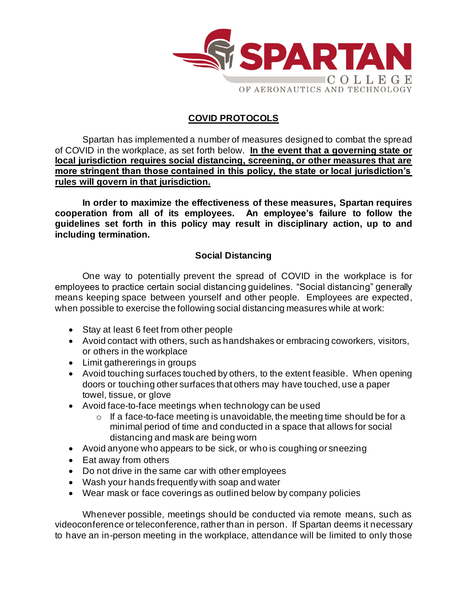

# **COVID PROTOCOLS**

Spartan has implemented a number of measures designed to combat the spread of COVID in the workplace, as set forth below. **In the event that a governing state or local jurisdiction requires social distancing, screening, or other measures that are more stringent than those contained in this policy, the state or local jurisdiction's rules will govern in that jurisdiction.**

**In order to maximize the effectiveness of these measures, Spartan requires cooperation from all of its employees. An employee's failure to follow the guidelines set forth in this policy may result in disciplinary action, up to and including termination.** 

## **Social Distancing**

One way to potentially prevent the spread of COVID in the workplace is for employees to practice certain social distancing guidelines. "Social distancing" generally means keeping space between yourself and other people. Employees are expected, when possible to exercise the following social distancing measures while at work:

- Stay at least 6 feet from other people
- Avoid contact with others, such as handshakes or embracing coworkers, visitors, or others in the workplace
- Limit gathererings in groups
- Avoid touching surfaces touched by others, to the extent feasible. When opening doors or touching other surfaces that others may have touched, use a paper towel, tissue, or glove
- Avoid face-to-face meetings when technology can be used
	- o If a face-to-face meeting is unavoidable, the meeting time should be for a minimal period of time and conducted in a space that allows for social distancing and mask are being worn
- Avoid anyone who appears to be sick, or who is coughing or sneezing
- Eat away from others
- Do not drive in the same car with other employees
- Wash your hands frequently with soap and water
- Wear mask or face coverings as outlined below by company policies

Whenever possible, meetings should be conducted via remote means, such as videoconference or teleconference, rather than in person. If Spartan deems it necessary to have an in-person meeting in the workplace, attendance will be limited to only those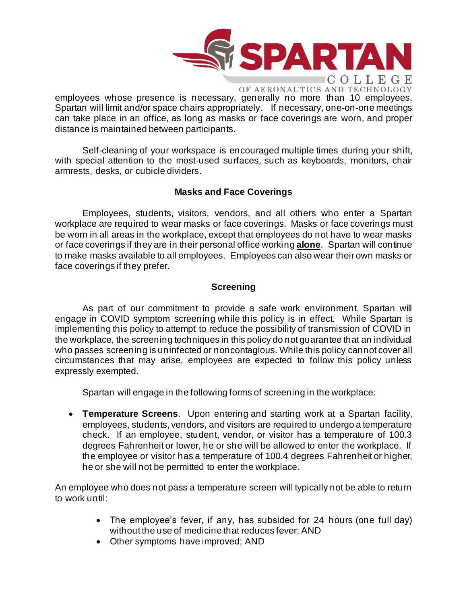

employees whose presence is necessary, generally no more than 10 employees. Spartan will limit and/or space chairs appropriately. If necessary, one-on-one meetings can take place in an office, as long as masks or face coverings are worn, and proper distance is maintained between participants.

Self-cleaning of your workspace is encouraged multiple times during your shift, with special attention to the most-used surfaces, such as keyboards, monitors, chair armrests, desks, or cubicle dividers.

### **Masks and Face Coverings**

Employees, students, visitors, vendors, and all others who enter a Spartan workplace are required to wear masks or face coverings. Masks or face coverings must be worn in all areas in the workplace, except that employees do not have to wear masks or face coverings if they are in their personal office working **alone**. Spartan will continue to make masks available to all employees. Employees can also wear their own masks or face coverings if they prefer.

#### **Screening**

As part of our commitment to provide a safe work environment, Spartan will engage in COVID symptom screening while this policy is in effect. While Spartan is implementing this policy to attempt to reduce the possibility of transmission of COVID in the workplace, the screening techniques in this policy do not guarantee that an individual who passes screening is uninfected or noncontagious. While this policy cannot cover all circumstances that may arise, employees are expected to follow this policy unless expressly exempted.

Spartan will engage in the following forms of screening in the workplace:

• **Temperature Screens**. Upon entering and starting work at a Spartan facility, employees, students, vendors, and visitors are required to undergo a temperature check. If an employee, student, vendor, or visitor has a temperature of 100.3 degrees Fahrenheit or lower, he or she will be allowed to enter the workplace. If the employee or visitor has a temperature of 100.4 degrees Fahrenheit or higher, he or she will not be permitted to enter the workplace.

An employee who does not pass a temperature screen will typically not be able to return to work until:

- The employee's fever, if any, has subsided for 24 hours (one full day) without the use of medicine that reduces fever; AND
- Other symptoms have improved; AND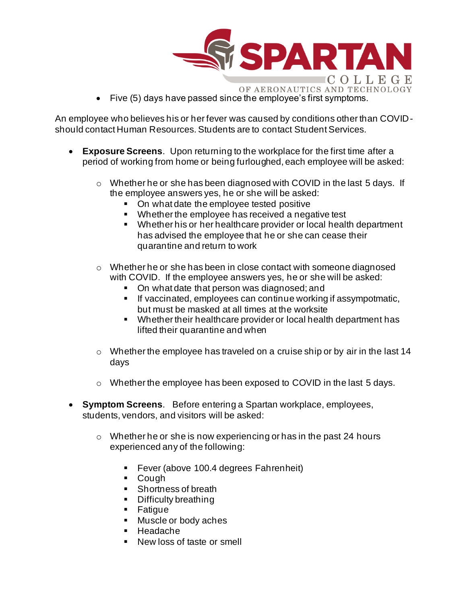

• Five (5) days have passed since the employee's first symptoms.

An employee who believes his or her fever was caused by conditions other than COVIDshould contact Human Resources. Students are to contact Student Services.

- **Exposure Screens**. Upon returning to the workplace for the first time after a period of working from home or being furloughed, each employee will be asked:
	- $\circ$  Whether he or she has been diagnosed with COVID in the last 5 days. If the employee answers yes, he or she will be asked:
		- On what date the employee tested positive
		- Whether the employee has received a negative test
		- Whether his or her healthcare provider or local health department has advised the employee that he or she can cease their quarantine and return to work
	- $\circ$  Whether he or she has been in close contact with someone diagnosed with COVID. If the employee answers yes, he or she will be asked:
		- On what date that person was diagnosed; and
		- If vaccinated, employees can continue working if assympotmatic, but must be masked at all times at the worksite
		- Whether their healthcare provider or local health department has lifted their quarantine and when
	- o Whether the employee has traveled on a cruise ship or by air in the last 14 days
	- o Whether the employee has been exposed to COVID in the last 5 days.
- **Symptom Screens**. Before entering a Spartan workplace, employees, students, vendors, and visitors will be asked:
	- o Whether he or she is now experiencing or has in the past 24 hours experienced any of the following:
		- **EXECT:** Fever (above 100.4 degrees Fahrenheit)
		- Cough
		- Shortness of breath
		- Difficulty breathing
		- Fatigue
		- Muscle or body aches
		- Headache
		- New loss of taste or smell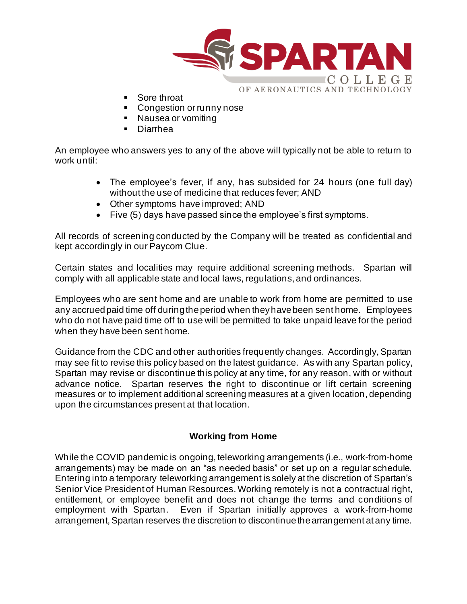

- Sore throat
- Congestion or runny nose
- Nausea or vomiting
- **Diarrhea**

An employee who answers yes to any of the above will typically not be able to return to work until:

- The employee's fever, if any, has subsided for 24 hours (one full day) without the use of medicine that reduces fever; AND
- Other symptoms have improved; AND
- Five (5) days have passed since the employee's first symptoms.

All records of screening conducted by the Company will be treated as confidential and kept accordingly in our Paycom Clue.

Certain states and localities may require additional screening methods. Spartan will comply with all applicable state and local laws, regulations, and ordinances.

Employees who are sent home and are unable to work from home are permitted to use any accrued paid time off during the period when they have been sent home. Employees who do not have paid time off to use will be permitted to take unpaid leave for the period when they have been sent home.

Guidance from the CDC and other authorities frequently changes. Accordingly, Spartan may see fit to revise this policy based on the latest guidance. As with any Spartan policy, Spartan may revise or discontinue this policy at any time, for any reason, with or without advance notice. Spartan reserves the right to discontinue or lift certain screening measures or to implement additional screening measures at a given location, depending upon the circumstances present at that location.

#### **Working from Home**

While the COVID pandemic is ongoing, teleworking arrangements (i.e., work-from-home arrangements) may be made on an "as needed basis" or set up on a regular schedule. Entering into a temporary teleworking arrangement is solely at the discretion of Spartan's Senior Vice President of Human Resources. Working remotely is not a contractual right, entitlement, or employee benefit and does not change the terms and conditions of employment with Spartan. Even if Spartan initially approves a work-from-home arrangement, Spartan reserves the discretion to discontinue the arrangement at any time.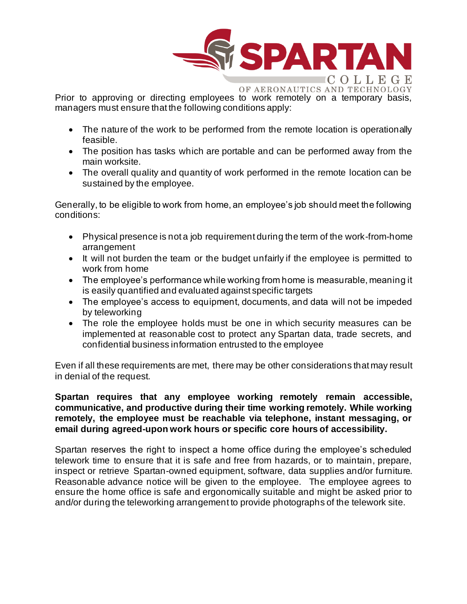

Prior to approving or directing employees to work remotely on a temporary basis, managers must ensure that the following conditions apply:

- The nature of the work to be performed from the remote location is operationally feasible.
- The position has tasks which are portable and can be performed away from the main worksite.
- The overall quality and quantity of work performed in the remote location can be sustained by the employee.

Generally, to be eligible to work from home, an employee's job should meet the following conditions:

- Physical presence is not a job requirement during the term of the work-from-home arrangement
- It will not burden the team or the budget unfairly if the employee is permitted to work from home
- The employee's performance while working from home is measurable, meaning it is easily quantified and evaluated against specific targets
- The employee's access to equipment, documents, and data will not be impeded by teleworking
- The role the employee holds must be one in which security measures can be implemented at reasonable cost to protect any Spartan data, trade secrets, and confidential business information entrusted to the employee

Even if all these requirements are met, there may be other considerations that may result in denial of the request.

**Spartan requires that any employee working remotely remain accessible, communicative, and productive during their time working remotely. While working remotely, the employee must be reachable via telephone, instant messaging, or email during agreed-upon work hours or specific core hours of accessibility.** 

Spartan reserves the right to inspect a home office during the employee's scheduled telework time to ensure that it is safe and free from hazards, or to maintain, prepare, inspect or retrieve Spartan-owned equipment, software, data supplies and/or furniture. Reasonable advance notice will be given to the employee. The employee agrees to ensure the home office is safe and ergonomically suitable and might be asked prior to and/or during the teleworking arrangement to provide photographs of the telework site.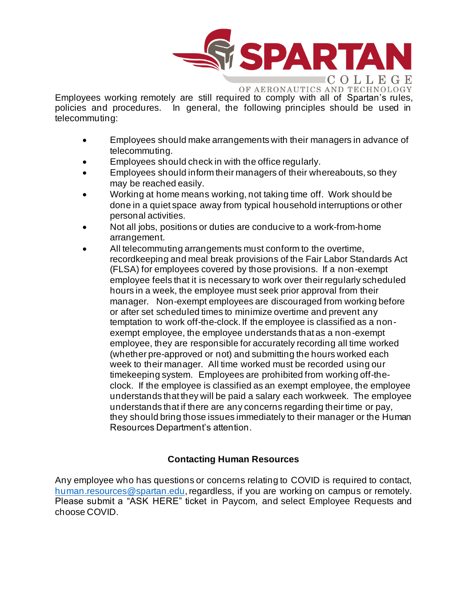

Employees working remotely are still required to comply with all of Spartan's rules, policies and procedures. In general, the following principles should be used in telecommuting:

- Employees should make arrangements with their managers in advance of telecommuting.
- Employees should check in with the office regularly.
- Employees should inform their managers of their whereabouts, so they may be reached easily.
- Working at home means working, not taking time off. Work should be done in a quiet space away from typical household interruptions or other personal activities.
- Not all jobs, positions or duties are conducive to a work-from-home arrangement.
- All telecommuting arrangements must conform to the overtime, recordkeeping and meal break provisions of the Fair Labor Standards Act (FLSA) for employees covered by those provisions. If a non-exempt employee feels that it is necessary to work over their regularly scheduled hours in a week, the employee must seek prior approval from their manager. Non-exempt employees are discouraged from working before or after set scheduled times to minimize overtime and prevent any temptation to work off-the-clock. If the employee is classified as a nonexempt employee, the employee understands that as a non-exempt employee, they are responsible for accurately recording all time worked (whether pre-approved or not) and submitting the hours worked each week to their manager. All time worked must be recorded using our timekeeping system. Employees are prohibited from working off-theclock. If the employee is classified as an exempt employee, the employee understands that they will be paid a salary each workweek. The employee understands that if there are any concerns regarding their time or pay, they should bring those issues immediately to their manager or the Human Resources Department's attention.

## **Contacting Human Resources**

Any employee who has questions or concerns relating to COVID is required to contact, [human.resources@spartan.edu,](mailto:human.resources@spartan.edu) regardless, if you are working on campus or remotely. Please submit a "ASK HERE" ticket in Paycom, and select Employee Requests and choose COVID.